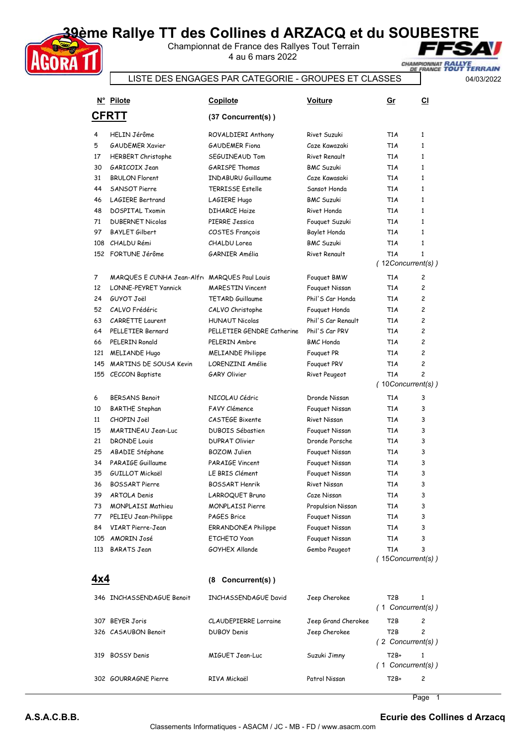## **39ème Rallye TT des Collines d ARZACQ et du SOUBESTRE**

Championnat de France des Rallyes Tout Terrain 4 au 6 mars 2022



## LISTE DES ENGAGES PAR CATEGORIE - GROUPES ET CLASSES

04/03/2022

|     | N° Pilote                                    | <b>Copilote</b>              | Voiture              | Gr                       | <b>CI</b>      |
|-----|----------------------------------------------|------------------------------|----------------------|--------------------------|----------------|
|     | <b>CFRTT</b>                                 | (37 Concurrent(s))           |                      |                          |                |
| 4   | <b>HELIN Jérôme</b>                          | ROVALDIERI Anthony           | Rivet Suzuki         | T <sub>1</sub> A         | $\mathbf{1}$   |
| 5   | <b>GAUDEMER Xavier</b>                       | <b>GAUDEMER Fiona</b>        | Caze Kawazaki        | T1A                      | $\mathbf{1}$   |
| 17  | <b>HERBERT Christophe</b>                    | SEGUINEAUD Tom               | <b>Rivet Renault</b> | T1A                      | $\mathbf{1}$   |
| 30  | GARICOIX Jean                                | <b>GARISPE Thomas</b>        | <b>BMC Suzuki</b>    | T1A                      | $\mathbf{1}$   |
| 31  | <b>BRULON Florent</b>                        | <b>INDABURU Guillaume</b>    | Caze Kawasaki        | T <sub>1</sub> A         | $\mathbf{1}$   |
| 44  | SANSOT Pierre                                | <b>TERRISSE Estelle</b>      | Sansot Honda         | T1A                      | $\mathbf{1}$   |
| 46  | <b>LAGIERE Bertrand</b>                      | LAGIERE Hugo                 | <b>BMC Suzuki</b>    | T <sub>1</sub> A         | $\mathbf{1}$   |
| 48  | <b>DOSPITAL Txomin</b>                       | <b>DIHARCE Haize</b>         | Rivet Honda          | T1A                      | $\mathbf{1}$   |
| 71  | <b>DUBERNET Nicolas</b>                      | PIERRE Jessica               | Fouguet Suzuki       | T1A                      | $\mathbf{1}$   |
| 97  | <b>BAYLET Gilbert</b>                        | <b>COSTES François</b>       | Baylet Honda         | T1A                      | $\mathbf{1}$   |
|     | 108 CHALDU Rémi                              | CHALDU Lorea                 | <b>BMC Suzuki</b>    | T1A                      | $\mathbf{1}$   |
|     | 152 FORTUNE Jérôme                           | GARNIER Amélia               | Rivet Renault        | T <sub>1</sub> A         | $\mathbf{1}$   |
|     |                                              |                              |                      | (12Concurrent(s))        |                |
| 7   | MARQUES E CUNHA Jean-Alfr MARQUES Paul Louis |                              | Fouguet BMW          | T1A                      | 2              |
| 12  | LONNE-PEYRET Yannick                         | <b>MARFSTIN Vincent</b>      | Fouquet Nissan       | T1A                      | $\overline{c}$ |
| 24  | GUYOT Joël                                   | <b>TETARD Guillaume</b>      | Phil'S Car Honda     | T <sub>1</sub> A         | $\overline{c}$ |
| 52  | CALVO Frédéric                               | CALVO Christophe             | Fouguet Honda        | T <sub>1</sub> A         | $\overline{c}$ |
| 63  | <b>CARRETTE Laurent</b>                      | <b>HUNAUT Nicolas</b>        | Phil'S Car Renault   | T <sub>1</sub> A         | $\overline{c}$ |
| 64  | PELLETIER Bernard                            | PELLETIER GENDRE Catherine   | Phil'S Car PRV       | T <sub>1</sub> A         | $\overline{c}$ |
| 66  | PELERIN Ronald                               | PELERIN Ambre                | <b>BMC</b> Honda     | T <sub>1</sub> A         | $\overline{c}$ |
| 121 | MELIANDE Hugo                                | <b>MELIANDE Philippe</b>     | Fouguet PR           | T1A                      | $\overline{c}$ |
| 145 | <b>MARTINS DE SOUSA Kevin</b>                | LORENZINI Amélie             | Fouguet PRV          | T1A                      | $\overline{c}$ |
| 155 | CECCON Baptiste                              | <b>GARY Olivier</b>          | Rivet Peugeot        | T <sub>1</sub> A         | $\overline{c}$ |
|     |                                              |                              |                      | $(10$ Concurrent $(s)$ ) |                |
| 6   | <b>BERSANS Benoit</b>                        | NICOLAU Cédric               | Dronde Nissan        | T1A                      | 3              |
| 10  | <b>BARTHE Stephan</b>                        | <b>FAVY Clémence</b>         | Fouguet Nissan       | T <sub>1</sub> A         | 3              |
| 11  | CHOPIN Joël                                  | CASTEGE Bixente              | Rivet Nissan         | T1A                      | 3              |
| 15  | <b>MARTINEAU Jean-Luc</b>                    | <b>DUBOIS Sébastien</b>      | Fouguet Nissan       | T1A                      | 3              |
| 21  | <b>DRONDE Louis</b>                          | <b>DUPRAT Olivier</b>        | Dronde Porsche       | T1A                      | 3              |
| 25  | ABADIE Stéphane                              | <b>BOZOM Julien</b>          | Fouquet Nissan       | T1A                      | 3              |
| 34  | PARAIGE Guillaume                            | PARAIGE Vincent              | Fouquet Nissan       | T1A                      | 3              |
| 35  | <b>GUILLOT Mickaël</b>                       | LE BRIS Clément              | Fouguet Nissan       | T1A                      | 3              |
| 36  | <b>BOSSART Pierre</b>                        | BOSSART Henrik               | Rivet Nissan         | T1A                      | 3              |
| 39  | ARTOLA Denis                                 | LARROQUET Bruno              | Caze Nissan          | T1A                      | 3              |
| 73  | MONPLAISI Mathieu                            | <b>MONPLAISI Pierre</b>      | Propulsion Nissan    | T1A                      | 3              |
| 77  | PELIEU Jean-Philippe                         | PAGES Brice                  | Fouquet Nissan       | T1A                      | 3              |
| 84  | VIART Pierre-Jean                            | <b>ERRANDONEA Philippe</b>   | Fouquet Nissan       | T1A                      | 3              |
|     | 105 AMORIN José                              | <b>ETCHETO Yoan</b>          | Fouquet Nissan       | T1A                      | 3              |
| 113 | <b>BARATS</b> Jean                           | GOYHEX Allande               | Gembo Peugeot        | T1A<br>(15Concurrent(s)) | 3              |
|     |                                              |                              |                      |                          |                |
| 4x4 |                                              | (8 Concurrent(s))            |                      |                          |                |
|     | 346 INCHASSENDAGUE Benoit                    | INCHASSENDAGUE David         | Jeep Cherokee        | T2B                      | 1              |
|     |                                              |                              |                      | $(1$ Concurrent(s))      |                |
|     | 307 BEYER Joris                              | <b>CLAUDEPIERRE</b> Lorraine | Jeep Grand Cherokee  | T2B                      | 2              |
|     | 326 CASAUBON Benoit                          | <b>DUBOY Denis</b>           | Jeep Cherokee        | T <sub>2</sub> B         | 2              |
|     |                                              |                              |                      | (2 Concurrent(s))        |                |
|     | 319 BOSSY Denis                              | <b>MIGUET Jean-Luc</b>       | Suzuki Jimny         | T2B+                     | $\mathbf{1}$   |
|     |                                              |                              |                      | $(1$ Concurrent(s))      |                |
|     | 302 GOURRAGNE Pierre                         | RIVA Mickaël                 | Patrol Nissan        | T2B+                     | 2              |
|     |                                              |                              |                      |                          |                |

1 Page

**AGORA T**